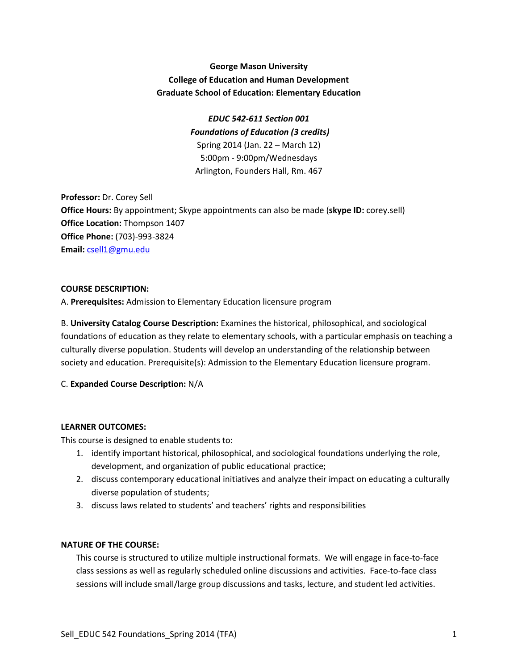# **George Mason University College of Education and Human Development Graduate School of Education: Elementary Education**

# *EDUC 542-611 Section 001 Foundations of Education (3 credits)* Spring 2014 (Jan. 22 – March 12) 5:00pm - 9:00pm/Wednesdays Arlington, Founders Hall, Rm. 467

**Professor:** Dr. Corey Sell **Office Hours:** By appointment; Skype appointments can also be made (**skype ID:** corey.sell) **Office Location:** Thompson 1407 **Office Phone:** (703)-993-3824 **Email:** [csell1@gmu.edu](mailto:csell1@gmu.edu)

# **COURSE DESCRIPTION:**

A. **Prerequisites:** Admission to Elementary Education licensure program

B. **University Catalog Course Description:** Examines the historical, philosophical, and sociological foundations of education as they relate to elementary schools, with a particular emphasis on teaching a culturally diverse population. Students will develop an understanding of the relationship between society and education. Prerequisite(s): Admission to the Elementary Education licensure program.

# C. **Expanded Course Description:** N/A

## **LEARNER OUTCOMES:**

This course is designed to enable students to:

- 1. identify important historical, philosophical, and sociological foundations underlying the role, development, and organization of public educational practice;
- 2. discuss contemporary educational initiatives and analyze their impact on educating a culturally diverse population of students;
- 3. discuss laws related to students' and teachers' rights and responsibilities

## **NATURE OF THE COURSE:**

This course is structured to utilize multiple instructional formats. We will engage in face-to-face class sessions as well as regularly scheduled online discussions and activities. Face-to-face class sessions will include small/large group discussions and tasks, lecture, and student led activities.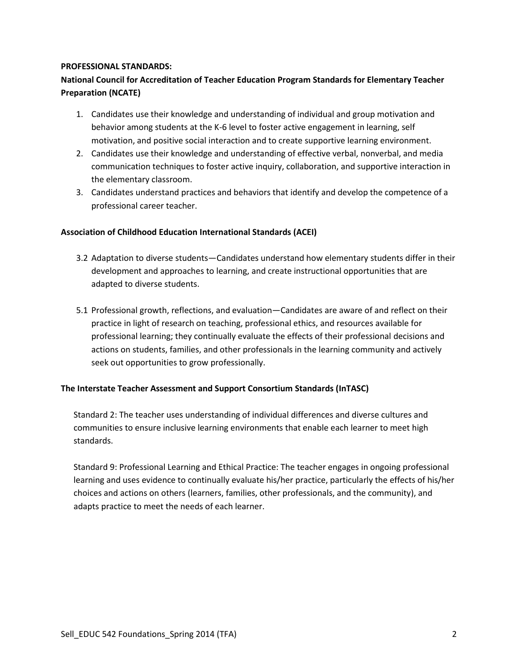## **PROFESSIONAL STANDARDS:**

# **National Council for Accreditation of Teacher Education Program Standards for Elementary Teacher Preparation (NCATE)**

- 1. Candidates use their knowledge and understanding of individual and group motivation and behavior among students at the K-6 level to foster active engagement in learning, self motivation, and positive social interaction and to create supportive learning environment.
- 2. Candidates use their knowledge and understanding of effective verbal, nonverbal, and media communication techniques to foster active inquiry, collaboration, and supportive interaction in the elementary classroom.
- 3. Candidates understand practices and behaviors that identify and develop the competence of a professional career teacher.

# **Association of Childhood Education International Standards (ACEI)**

- 3.2 Adaptation to diverse students—Candidates understand how elementary students differ in their development and approaches to learning, and create instructional opportunities that are adapted to diverse students.
- 5.1 Professional growth, reflections, and evaluation—Candidates are aware of and reflect on their practice in light of research on teaching, professional ethics, and resources available for professional learning; they continually evaluate the effects of their professional decisions and actions on students, families, and other professionals in the learning community and actively seek out opportunities to grow professionally.

## **The Interstate Teacher Assessment and Support Consortium Standards (InTASC)**

Standard 2: The teacher uses understanding of individual differences and diverse cultures and communities to ensure inclusive learning environments that enable each learner to meet high standards.

Standard 9: Professional Learning and Ethical Practice: The teacher engages in ongoing professional learning and uses evidence to continually evaluate his/her practice, particularly the effects of his/her choices and actions on others (learners, families, other professionals, and the community), and adapts practice to meet the needs of each learner.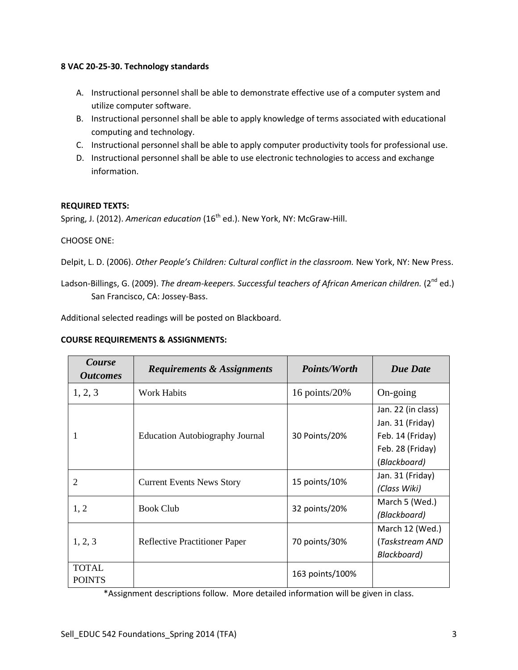## **8 VAC 20-25-30. Technology standards**

- A. Instructional personnel shall be able to demonstrate effective use of a computer system and utilize computer software.
- B. Instructional personnel shall be able to apply knowledge of terms associated with educational computing and technology.
- C. Instructional personnel shall be able to apply computer productivity tools for professional use.
- D. Instructional personnel shall be able to use electronic technologies to access and exchange information.

# **REQUIRED TEXTS:**

Spring, J. (2012). *American education* (16<sup>th</sup> ed.). New York, NY: McGraw-Hill.

## CHOOSE ONE:

- Delpit, L. D. (2006). *Other People's Children: Cultural conflict in the classroom.* New York, NY: New Press.
- Ladson-Billings, G. (2009). *The dream-keepers. Successful teachers of African American children.* (2<sup>nd</sup> ed.) San Francisco, CA: Jossey-Bass.

Additional selected readings will be posted on Blackboard.

## **COURSE REQUIREMENTS & ASSIGNMENTS:**

| Course<br><i><b>Outcomes</b></i> | <b>Requirements &amp; Assignments</b>  | <i>Points/Worth</i> | <b>Due Date</b>                                                                                |
|----------------------------------|----------------------------------------|---------------------|------------------------------------------------------------------------------------------------|
| 1, 2, 3                          | Work Habits                            | 16 points/ $20\%$   | On-going                                                                                       |
|                                  | <b>Education Autobiography Journal</b> | 30 Points/20%       | Jan. 22 (in class)<br>Jan. 31 (Friday)<br>Feb. 14 (Friday)<br>Feb. 28 (Friday)<br>(Blackboard) |
| 2                                | <b>Current Events News Story</b>       | 15 points/10%       | Jan. 31 (Friday)<br>(Class Wiki)                                                               |
| 1, 2                             | <b>Book Club</b>                       | 32 points/20%       | March 5 (Wed.)<br>(Blackboard)                                                                 |
| 1, 2, 3                          | <b>Reflective Practitioner Paper</b>   | 70 points/30%       | March 12 (Wed.)<br>(Taskstream AND<br>Blackboard)                                              |
| <b>TOTAL</b><br><b>POINTS</b>    |                                        | 163 points/100%     |                                                                                                |

\*Assignment descriptions follow. More detailed information will be given in class.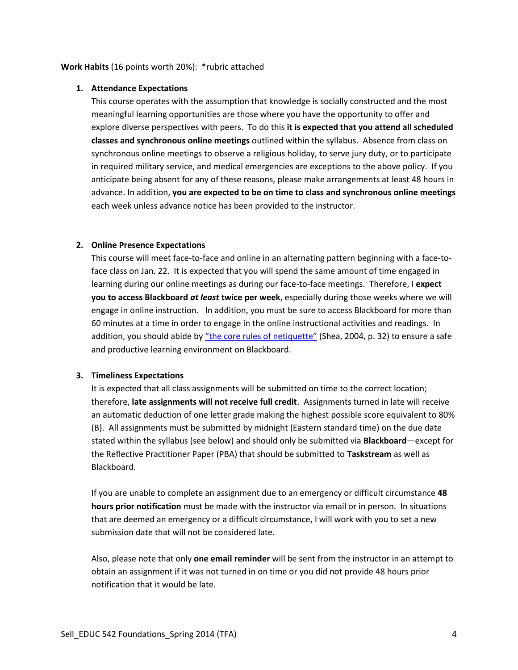## **1. Attendance Expectations**

This course operates with the assumption that knowledge is socially constructed and the most meaningful learning opportunities are those where you have the opportunity to offer and explore diverse perspectives with peers. To do this **it is expected that you attend all scheduled classes and synchronous online meetings** outlined within the syllabus. Absence from class on synchronous online meetings to observe a religious holiday, to serve jury duty, or to participate in required military service, and medical emergencies are exceptions to the above policy. If you anticipate being absent for any of these reasons, please make arrangements at least 48 hours in advance. In addition, **you are expected to be on time to class and synchronous online meetings** each week unless advance notice has been provided to the instructor.

#### **2. Online Presence Expectations**

This course will meet face-to-face and online in an alternating pattern beginning with a face-toface class on Jan. 22. It is expected that you will spend the same amount of time engaged in learning during our online meetings as during our face-to-face meetings. Therefore, I **expect you to access Blackboard** *at least* **twice per week**, especially during those weeks where we will engage in online instruction. In addition, you must be sure to access Blackboard for more than 60 minutes at a time in order to engage in the online instructional activities and readings. In addition, you should abide by ["the core rules of netiquette"](http://www.albion.com/netiquette/corerules.html) (Shea, 2004, p. 32) to ensure a safe and productive learning environment on Blackboard.

## **3. Timeliness Expectations**

It is expected that all class assignments will be submitted on time to the correct location; therefore, **late assignments will not receive full credit**. Assignments turned in late will receive an automatic deduction of one letter grade making the highest possible score equivalent to 80% (B). All assignments must be submitted by midnight (Eastern standard time) on the due date stated within the syllabus (see below) and should only be submitted via **Blackboard**—except for the Reflective Practitioner Paper (PBA) that should be submitted to **Taskstream** as well as Blackboard.

If you are unable to complete an assignment due to an emergency or difficult circumstance **48 hours prior notification** must be made with the instructor via email or in person. In situations that are deemed an emergency or a difficult circumstance, I will work with you to set a new submission date that will not be considered late.

Also, please note that only **one email reminder** will be sent from the instructor in an attempt to obtain an assignment if it was not turned in on time or you did not provide 48 hours prior notification that it would be late.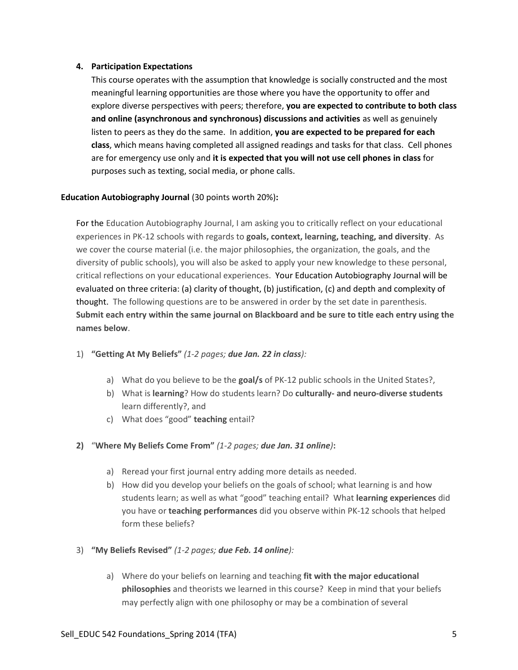## **4. Participation Expectations**

This course operates with the assumption that knowledge is socially constructed and the most meaningful learning opportunities are those where you have the opportunity to offer and explore diverse perspectives with peers; therefore, **you are expected to contribute to both class and online (asynchronous and synchronous) discussions and activities** as well as genuinely listen to peers as they do the same. In addition, **you are expected to be prepared for each class**, which means having completed all assigned readings and tasks for that class. Cell phones are for emergency use only and **it is expected that you will not use cell phones in class** for purposes such as texting, social media, or phone calls.

# **Education Autobiography Journal** (30 points worth 20%)**:**

For the Education Autobiography Journal, I am asking you to critically reflect on your educational experiences in PK-12 schools with regards to **goals, context, learning, teaching, and diversity**. As we cover the course material (i.e. the major philosophies, the organization, the goals, and the diversity of public schools), you will also be asked to apply your new knowledge to these personal, critical reflections on your educational experiences. Your Education Autobiography Journal will be evaluated on three criteria: (a) clarity of thought, (b) justification, (c) and depth and complexity of thought. The following questions are to be answered in order by the set date in parenthesis. **Submit each entry within the same journal on Blackboard and be sure to title each entry using the names below**.

- 1) **"Getting At My Beliefs"** *(1-2 pages; due Jan. 22 in class):*
	- a) What do you believe to be the **goal/s** of PK-12 public schools in the United States?,
	- b) What is **learning**? How do students learn? Do **culturally- and neuro-diverse students** learn differently?, and
	- c) What does "good" **teaching** entail?
- **2)** "**Where My Beliefs Come From"** *(1-2 pages; due Jan. 31 online)***:** 
	- a) Reread your first journal entry adding more details as needed.
	- b) How did you develop your beliefs on the goals of school; what learning is and how students learn; as well as what "good" teaching entail? What **learning experiences** did you have or **teaching performances** did you observe within PK-12 schools that helped form these beliefs?
- 3) **"My Beliefs Revised"** *(1-2 pages; due Feb. 14 online):* 
	- a) Where do your beliefs on learning and teaching **fit with the major educational philosophies** and theorists we learned in this course? Keep in mind that your beliefs may perfectly align with one philosophy or may be a combination of several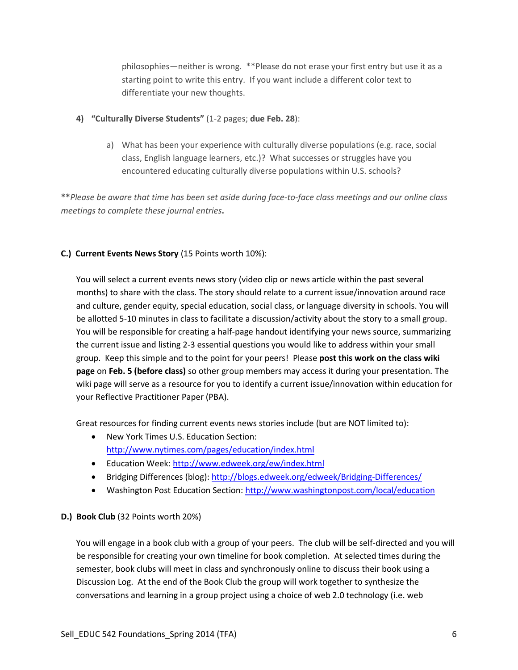philosophies—neither is wrong. \*\*Please do not erase your first entry but use it as a starting point to write this entry. If you want include a different color text to differentiate your new thoughts.

- **4) "Culturally Diverse Students"** (1-2 pages; **due Feb. 28**):
	- a) What has been your experience with culturally diverse populations (e.g. race, social class, English language learners, etc.)? What successes or struggles have you encountered educating culturally diverse populations within U.S. schools?

**\*\****Please be aware that time has been set aside during face-to-face class meetings and our online class meetings to complete these journal entries***.**

# **C.) Current Events News Story** (15 Points worth 10%):

You will select a current events news story (video clip or news article within the past several months) to share with the class. The story should relate to a current issue/innovation around race and culture, gender equity, special education, social class, or language diversity in schools. You will be allotted 5-10 minutes in class to facilitate a discussion/activity about the story to a small group. You will be responsible for creating a half-page handout identifying your news source, summarizing the current issue and listing 2-3 essential questions you would like to address within your small group. Keep this simple and to the point for your peers! Please **post this work on the class wiki page** on **Feb. 5 (before class)** so other group members may access it during your presentation. The wiki page will serve as a resource for you to identify a current issue/innovation within education for your Reflective Practitioner Paper (PBA).

Great resources for finding current events news stories include (but are NOT limited to):

- New York Times U.S. Education Section: <http://www.nytimes.com/pages/education/index.html>
- Education Week:<http://www.edweek.org/ew/index.html>
- Bridging Differences (blog):<http://blogs.edweek.org/edweek/Bridging-Differences/>
- Washington Post Education Section:<http://www.washingtonpost.com/local/education>

# **D.) Book Club** (32 Points worth 20%)

You will engage in a book club with a group of your peers. The club will be self-directed and you will be responsible for creating your own timeline for book completion. At selected times during the semester, book clubs will meet in class and synchronously online to discuss their book using a Discussion Log. At the end of the Book Club the group will work together to synthesize the conversations and learning in a group project using a choice of web 2.0 technology (i.e. web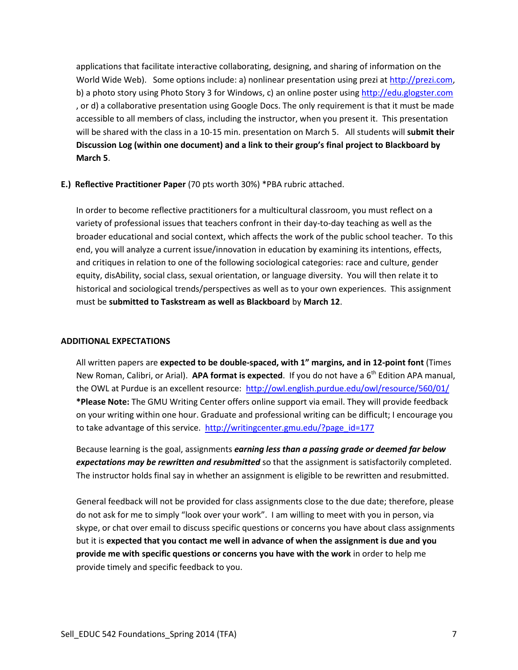applications that facilitate interactive collaborating, designing, and sharing of information on the World Wide Web). Some options include: a) nonlinear presentation using prezi a[t http://prezi.com,](http://prezi.com/) b) a photo story using Photo Story 3 for Windows, c) an online poster using [http://edu.glogster.com](http://edu.glogster.com/) , or d) a collaborative presentation using Google Docs. The only requirement is that it must be made accessible to all members of class, including the instructor, when you present it. This presentation will be shared with the class in a 10-15 min. presentation on March 5. All students will **submit their Discussion Log (within one document) and a link to their group's final project to Blackboard by March 5**.

#### **E.) Reflective Practitioner Paper** (70 pts worth 30%) \*PBA rubric attached.

In order to become reflective practitioners for a multicultural classroom, you must reflect on a variety of professional issues that teachers confront in their day-to-day teaching as well as the broader educational and social context, which affects the work of the public school teacher. To this end, you will analyze a current issue/innovation in education by examining its intentions, effects, and critiques in relation to one of the following sociological categories: race and culture, gender equity, disAbility, social class, sexual orientation, or language diversity. You will then relate it to historical and sociological trends/perspectives as well as to your own experiences. This assignment must be **submitted to Taskstream as well as Blackboard** by **March 12**.

# **ADDITIONAL EXPECTATIONS**

All written papers are **expected to be double-spaced, with 1" margins, and in 12-point font** (Times New Roman, Calibri, or Arial). APA format is expected. If you do not have a 6<sup>th</sup> Edition APA manual, the OWL at Purdue is an excellent resource:<http://owl.english.purdue.edu/owl/resource/560/01/> **\*Please Note:** The GMU Writing Center offers online support via email. They will provide feedback on your writing within one hour. Graduate and professional writing can be difficult; I encourage you to take advantage of this service. [http://writingcenter.gmu.edu/?page\\_id=177](http://writingcenter.gmu.edu/?page_id=177)

Because learning is the goal, assignments *earning less than a passing grade or deemed far below expectations may be rewritten and resubmitted* so that the assignment is satisfactorily completed. The instructor holds final say in whether an assignment is eligible to be rewritten and resubmitted.

General feedback will not be provided for class assignments close to the due date; therefore, please do not ask for me to simply "look over your work". I am willing to meet with you in person, via skype, or chat over email to discuss specific questions or concerns you have about class assignments but it is **expected that you contact me well in advance of when the assignment is due and you provide me with specific questions or concerns you have with the work** in order to help me provide timely and specific feedback to you.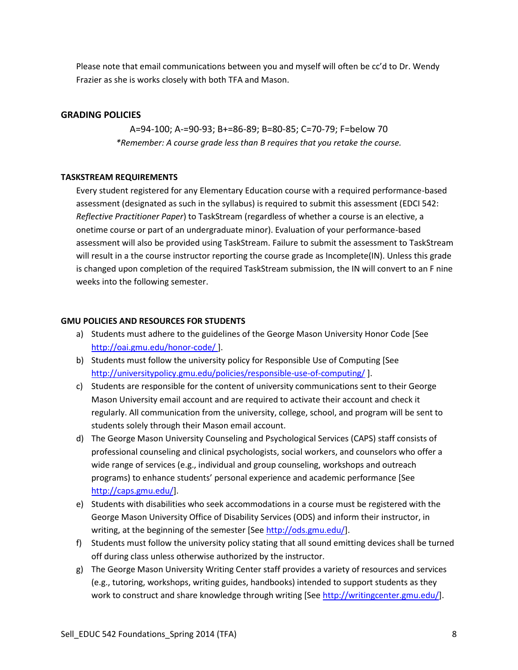Please note that email communications between you and myself will often be cc'd to Dr. Wendy Frazier as she is works closely with both TFA and Mason.

# **GRADING POLICIES**

A=94-100; A-=90-93; B+=86-89; B=80-85; C=70-79; F=below 70 *\*Remember: A course grade less than B requires that you retake the course.*

# **TASKSTREAM REQUIREMENTS**

Every student registered for any Elementary Education course with a required performance-based assessment (designated as such in the syllabus) is required to submit this assessment (EDCI 542: *Reflective Practitioner Paper*) to TaskStream (regardless of whether a course is an elective, a onetime course or part of an undergraduate minor). Evaluation of your performance-based assessment will also be provided using TaskStream. Failure to submit the assessment to TaskStream will result in a the course instructor reporting the course grade as Incomplete(IN). Unless this grade is changed upon completion of the required TaskStream submission, the IN will convert to an F nine weeks into the following semester.

## **GMU POLICIES AND RESOURCES FOR STUDENTS**

- a) Students must adhere to the guidelines of the George Mason University Honor Code [See <http://oai.gmu.edu/honor-code/> ].
- b) Students must follow the university policy for Responsible Use of Computing [See <http://universitypolicy.gmu.edu/policies/responsible-use-of-computing/> ].
- c) Students are responsible for the content of university communications sent to their George Mason University email account and are required to activate their account and check it regularly. All communication from the university, college, school, and program will be sent to students solely through their Mason email account.
- d) The George Mason University Counseling and Psychological Services (CAPS) staff consists of professional counseling and clinical psychologists, social workers, and counselors who offer a wide range of services (e.g., individual and group counseling, workshops and outreach programs) to enhance students' personal experience and academic performance [See [http://caps.gmu.edu/\]](http://caps.gmu.edu/).
- e) Students with disabilities who seek accommodations in a course must be registered with the George Mason University Office of Disability Services (ODS) and inform their instructor, in writing, at the beginning of the semester [Se[e http://ods.gmu.edu/\]](http://ods.gmu.edu/).
- f) Students must follow the university policy stating that all sound emitting devices shall be turned off during class unless otherwise authorized by the instructor.
- g) The George Mason University Writing Center staff provides a variety of resources and services (e.g., tutoring, workshops, writing guides, handbooks) intended to support students as they work to construct and share knowledge through writing [Se[e http://writingcenter.gmu.edu/\]](http://writingcenter.gmu.edu/).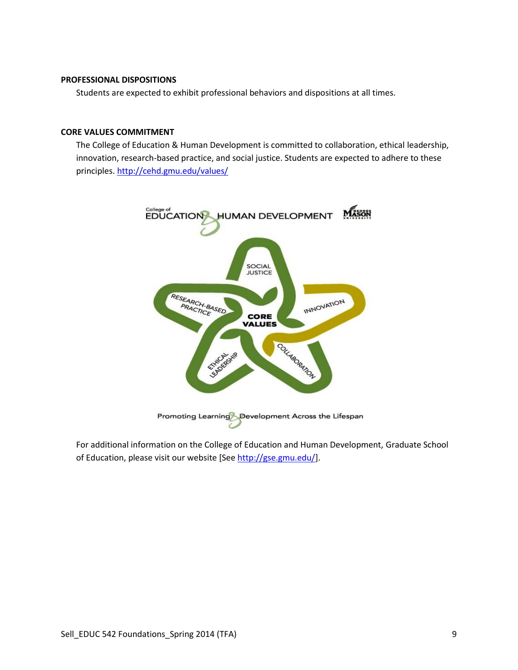# **PROFESSIONAL DISPOSITIONS**

Students are expected to exhibit professional behaviors and dispositions at all times.

#### **CORE VALUES COMMITMENT**

The College of Education & Human Development is committed to collaboration, ethical leadership, innovation, research-based practice, and social justice. Students are expected to adhere to these principles[. http://cehd.gmu.edu/values/](http://cehd.gmu.edu/values/)



For additional information on the College of Education and Human Development, Graduate School of Education, please visit our website [Se[e http://gse.gmu.edu/\]](http://gse.gmu.edu/).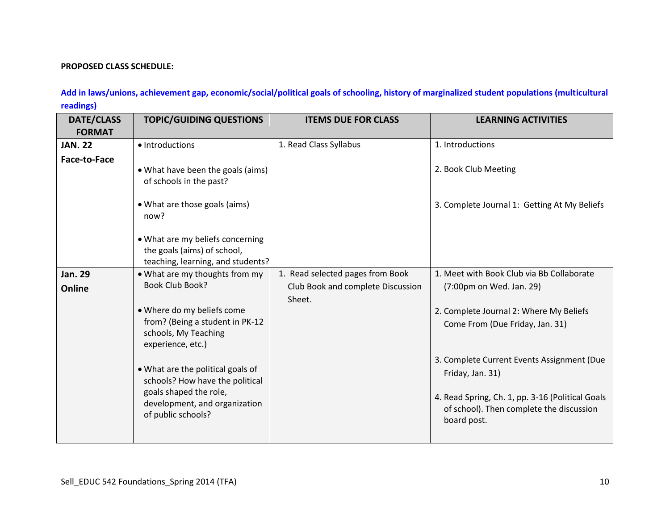## **PROPOSED CLASS SCHEDULE:**

**Add in laws/unions, achievement gap, economic/social/political goals of schooling, history of marginalized student populations (multicultural readings)** 

| <b>DATE/CLASS</b><br><b>FORMAT</b> | <b>TOPIC/GUIDING QUESTIONS</b>                                                                                                                                                                                                                                                                                                  | <b>ITEMS DUE FOR CLASS</b>                                                      | <b>LEARNING ACTIVITIES</b>                                                                                                                                                                                                                                                                                                           |
|------------------------------------|---------------------------------------------------------------------------------------------------------------------------------------------------------------------------------------------------------------------------------------------------------------------------------------------------------------------------------|---------------------------------------------------------------------------------|--------------------------------------------------------------------------------------------------------------------------------------------------------------------------------------------------------------------------------------------------------------------------------------------------------------------------------------|
| <b>JAN. 22</b>                     | • Introductions                                                                                                                                                                                                                                                                                                                 | 1. Read Class Syllabus                                                          | 1. Introductions                                                                                                                                                                                                                                                                                                                     |
| <b>Face-to-Face</b>                | • What have been the goals (aims)<br>of schools in the past?<br>• What are those goals (aims)<br>now?<br>. What are my beliefs concerning<br>the goals (aims) of school,                                                                                                                                                        |                                                                                 | 2. Book Club Meeting<br>3. Complete Journal 1: Getting At My Beliefs                                                                                                                                                                                                                                                                 |
|                                    | teaching, learning, and students?                                                                                                                                                                                                                                                                                               |                                                                                 |                                                                                                                                                                                                                                                                                                                                      |
| <b>Jan. 29</b><br>Online           | . What are my thoughts from my<br><b>Book Club Book?</b><br>. Where do my beliefs come<br>from? (Being a student in PK-12<br>schools, My Teaching<br>experience, etc.)<br>. What are the political goals of<br>schools? How have the political<br>goals shaped the role,<br>development, and organization<br>of public schools? | 1. Read selected pages from Book<br>Club Book and complete Discussion<br>Sheet. | 1. Meet with Book Club via Bb Collaborate<br>(7:00pm on Wed. Jan. 29)<br>2. Complete Journal 2: Where My Beliefs<br>Come From (Due Friday, Jan. 31)<br>3. Complete Current Events Assignment (Due<br>Friday, Jan. 31)<br>4. Read Spring, Ch. 1, pp. 3-16 (Political Goals<br>of school). Then complete the discussion<br>board post. |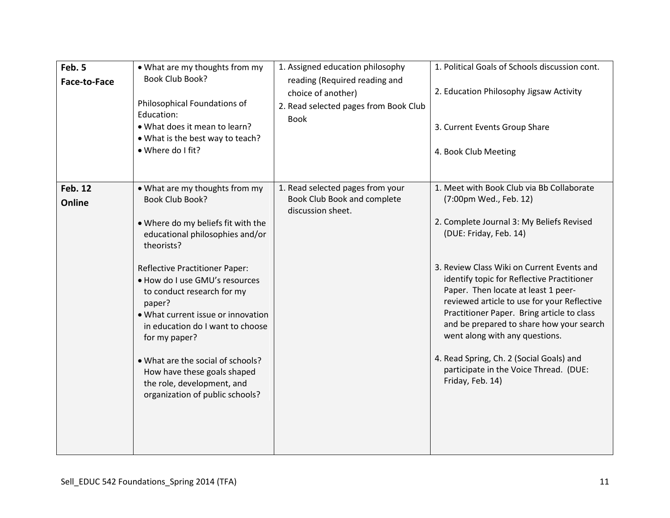| Feb. 5<br><b>Face-to-Face</b> | • What are my thoughts from my<br><b>Book Club Book?</b><br>Philosophical Foundations of<br>Education:<br>. What does it mean to learn?<br>• What is the best way to teach?<br>• Where do I fit?                                                                                                                                                                                                                                                                                            | 1. Assigned education philosophy<br>reading (Required reading and<br>choice of another)<br>2. Read selected pages from Book Club<br><b>Book</b> | 1. Political Goals of Schools discussion cont.<br>2. Education Philosophy Jigsaw Activity<br>3. Current Events Group Share<br>4. Book Club Meeting                                                                                                                                                                                                                                                                                                                                                                                                                 |
|-------------------------------|---------------------------------------------------------------------------------------------------------------------------------------------------------------------------------------------------------------------------------------------------------------------------------------------------------------------------------------------------------------------------------------------------------------------------------------------------------------------------------------------|-------------------------------------------------------------------------------------------------------------------------------------------------|--------------------------------------------------------------------------------------------------------------------------------------------------------------------------------------------------------------------------------------------------------------------------------------------------------------------------------------------------------------------------------------------------------------------------------------------------------------------------------------------------------------------------------------------------------------------|
| <b>Feb. 12</b><br>Online      | • What are my thoughts from my<br>Book Club Book?<br>. Where do my beliefs fit with the<br>educational philosophies and/or<br>theorists?<br><b>Reflective Practitioner Paper:</b><br>. How do I use GMU's resources<br>to conduct research for my<br>paper?<br>• What current issue or innovation<br>in education do I want to choose<br>for my paper?<br>• What are the social of schools?<br>How have these goals shaped<br>the role, development, and<br>organization of public schools? | 1. Read selected pages from your<br>Book Club Book and complete<br>discussion sheet.                                                            | 1. Meet with Book Club via Bb Collaborate<br>(7:00pm Wed., Feb. 12)<br>2. Complete Journal 3: My Beliefs Revised<br>(DUE: Friday, Feb. 14)<br>3. Review Class Wiki on Current Events and<br>identify topic for Reflective Practitioner<br>Paper. Then locate at least 1 peer-<br>reviewed article to use for your Reflective<br>Practitioner Paper. Bring article to class<br>and be prepared to share how your search<br>went along with any questions.<br>4. Read Spring, Ch. 2 (Social Goals) and<br>participate in the Voice Thread. (DUE:<br>Friday, Feb. 14) |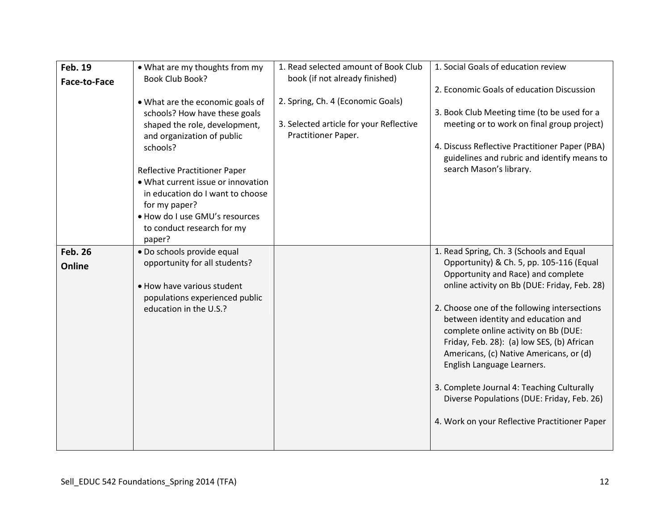| <b>Feb. 19</b><br><b>Face-to-Face</b> | • What are my thoughts from my<br><b>Book Club Book?</b><br>. What are the economic goals of<br>schools? How have these goals<br>shaped the role, development,<br>and organization of public<br>schools?<br>Reflective Practitioner Paper<br>• What current issue or innovation<br>in education do I want to choose<br>for my paper?<br>. How do I use GMU's resources<br>to conduct research for my<br>paper? | 1. Read selected amount of Book Club<br>book (if not already finished)<br>2. Spring, Ch. 4 (Economic Goals)<br>3. Selected article for your Reflective<br>Practitioner Paper. | 1. Social Goals of education review<br>2. Economic Goals of education Discussion<br>3. Book Club Meeting time (to be used for a<br>meeting or to work on final group project)<br>4. Discuss Reflective Practitioner Paper (PBA)<br>guidelines and rubric and identify means to<br>search Mason's library.                                                                                                                                                                                                                                                                    |
|---------------------------------------|----------------------------------------------------------------------------------------------------------------------------------------------------------------------------------------------------------------------------------------------------------------------------------------------------------------------------------------------------------------------------------------------------------------|-------------------------------------------------------------------------------------------------------------------------------------------------------------------------------|------------------------------------------------------------------------------------------------------------------------------------------------------------------------------------------------------------------------------------------------------------------------------------------------------------------------------------------------------------------------------------------------------------------------------------------------------------------------------------------------------------------------------------------------------------------------------|
| <b>Feb. 26</b><br>Online              | · Do schools provide equal<br>opportunity for all students?<br>. How have various student<br>populations experienced public<br>education in the U.S.?                                                                                                                                                                                                                                                          |                                                                                                                                                                               | 1. Read Spring, Ch. 3 (Schools and Equal<br>Opportunity) & Ch. 5, pp. 105-116 (Equal<br>Opportunity and Race) and complete<br>online activity on Bb (DUE: Friday, Feb. 28)<br>2. Choose one of the following intersections<br>between identity and education and<br>complete online activity on Bb (DUE:<br>Friday, Feb. 28): (a) low SES, (b) African<br>Americans, (c) Native Americans, or (d)<br>English Language Learners.<br>3. Complete Journal 4: Teaching Culturally<br>Diverse Populations (DUE: Friday, Feb. 26)<br>4. Work on your Reflective Practitioner Paper |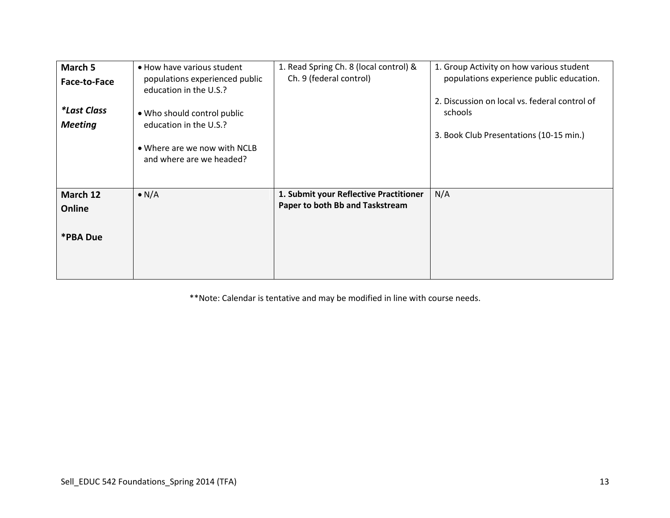| March 5<br>Face-to-Face<br><i>*Last Class</i><br><b>Meeting</b> | • How have various student<br>populations experienced public<br>education in the U.S.?<br>• Who should control public<br>education in the U.S.?<br>• Where are we now with NCLB<br>and where are we headed? | 1. Read Spring Ch. 8 (local control) &<br>Ch. 9 (federal control)         | 1. Group Activity on how various student<br>populations experience public education.<br>2. Discussion on local vs. federal control of<br>schools<br>3. Book Club Presentations (10-15 min.) |
|-----------------------------------------------------------------|-------------------------------------------------------------------------------------------------------------------------------------------------------------------------------------------------------------|---------------------------------------------------------------------------|---------------------------------------------------------------------------------------------------------------------------------------------------------------------------------------------|
| March 12<br>Online<br>*PBA Due                                  | $\bullet$ N/A                                                                                                                                                                                               | 1. Submit your Reflective Practitioner<br>Paper to both Bb and Taskstream | N/A                                                                                                                                                                                         |

\*\*Note: Calendar is tentative and may be modified in line with course needs.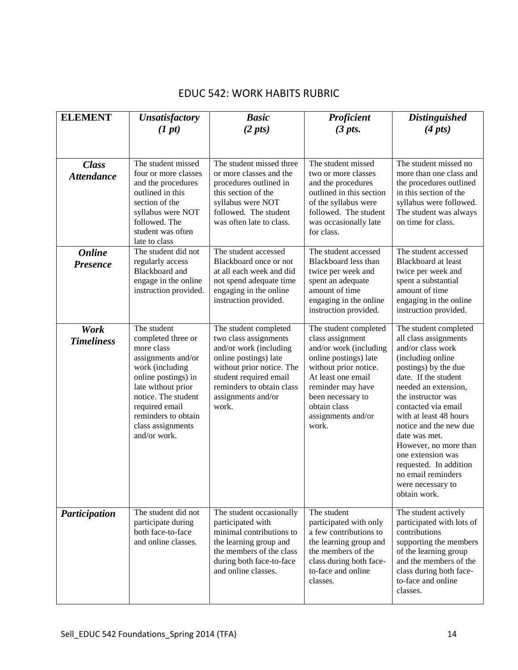# EDUC 542: WORK HABITS RUBRIC

| <b>ELEMENT</b>                    | <b>Unsatisfactory</b><br>(1 pt)                                                                                                                                                                                                            | <b>Basic</b><br>$(2 \; pts)$                                                                                                                                                                                         | Proficient<br>$(3 \; pts.$                                                                                                                                                                                                           | <b>Distinguished</b><br>$(4 \, pts)$                                                                                                                                                                                                                                                                                                                                                                                   |
|-----------------------------------|--------------------------------------------------------------------------------------------------------------------------------------------------------------------------------------------------------------------------------------------|----------------------------------------------------------------------------------------------------------------------------------------------------------------------------------------------------------------------|--------------------------------------------------------------------------------------------------------------------------------------------------------------------------------------------------------------------------------------|------------------------------------------------------------------------------------------------------------------------------------------------------------------------------------------------------------------------------------------------------------------------------------------------------------------------------------------------------------------------------------------------------------------------|
| <b>Class</b><br><b>Attendance</b> | The student missed<br>four or more classes<br>and the procedures<br>outlined in this<br>section of the<br>syllabus were NOT<br>followed. The<br>student was often<br>late to class                                                         | The student missed three<br>or more classes and the<br>procedures outlined in<br>this section of the<br>syllabus were NOT<br>followed. The student<br>was often late to class.                                       | The student missed<br>two or more classes<br>and the procedures<br>outlined in this section<br>of the syllabus were<br>followed. The student<br>was occasionally late<br>for class.                                                  | The student missed no<br>more than one class and<br>the procedures outlined<br>in this section of the<br>syllabus were followed.<br>The student was always<br>on time for class.                                                                                                                                                                                                                                       |
| <b>Online</b><br><b>Presence</b>  | The student did not<br>regularly access<br>Blackboard and<br>engage in the online<br>instruction provided.                                                                                                                                 | The student accessed<br>Blackboard once or not<br>at all each week and did<br>not spend adequate time<br>engaging in the online<br>instruction provided.                                                             | The student accessed<br>Blackboard less than<br>twice per week and<br>spent an adequate<br>amount of time<br>engaging in the online<br>instruction provided.                                                                         | The student accessed<br>Blackboard at least<br>twice per week and<br>spent a substantial<br>amount of time<br>engaging in the online<br>instruction provided.                                                                                                                                                                                                                                                          |
| Work<br><b>Timeliness</b>         | The student<br>completed three or<br>more class<br>assignments and/or<br>work (including<br>online postings) in<br>late without prior<br>notice. The student<br>required email<br>reminders to obtain<br>class assignments<br>and/or work. | The student completed<br>two class assignments<br>and/or work (including<br>online postings) late<br>without prior notice. The<br>student required email<br>reminders to obtain class<br>assignments and/or<br>work. | The student completed<br>class assignment<br>and/or work (including<br>online postings) late<br>without prior notice.<br>At least one email<br>reminder may have<br>been necessary to<br>obtain class<br>assignments and/or<br>work. | The student completed<br>all class assignments<br>and/or class work<br>(including online)<br>postings) by the due<br>date. If the student<br>needed an extension,<br>the instructor was<br>contacted via email<br>with at least 48 hours<br>notice and the new due<br>date was met.<br>However, no more than<br>one extension was<br>requested. In addition<br>no email reminders<br>were necessary to<br>obtain work. |
| Participation                     | The student did not<br>participate during<br>both face-to-face<br>and online classes.                                                                                                                                                      | The student occasionally<br>participated with<br>minimal contributions to<br>the learning group and<br>the members of the class<br>during both face-to-face<br>and online classes.                                   | The student<br>participated with only<br>a few contributions to<br>the learning group and<br>the members of the<br>class during both face-<br>to-face and online<br>classes.                                                         | The student actively<br>participated with lots of<br>contributions<br>supporting the members<br>of the learning group<br>and the members of the<br>class during both face-<br>to-face and online<br>classes.                                                                                                                                                                                                           |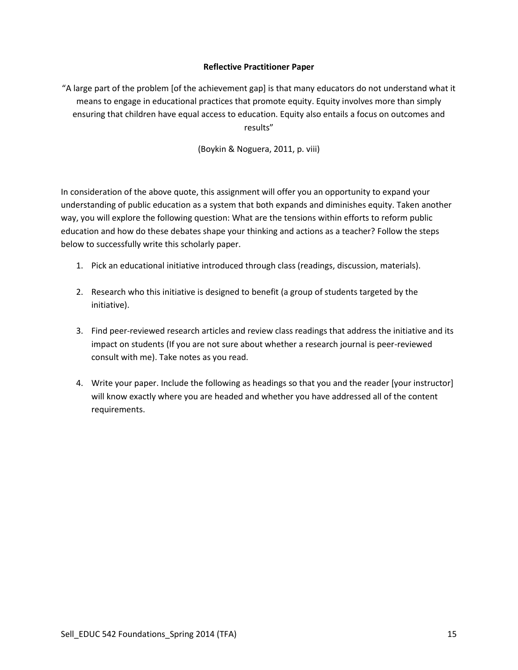# **Reflective Practitioner Paper**

"A large part of the problem [of the achievement gap] is that many educators do not understand what it means to engage in educational practices that promote equity. Equity involves more than simply ensuring that children have equal access to education. Equity also entails a focus on outcomes and results"

(Boykin & Noguera, 2011, p. viii)

In consideration of the above quote, this assignment will offer you an opportunity to expand your understanding of public education as a system that both expands and diminishes equity. Taken another way, you will explore the following question: What are the tensions within efforts to reform public education and how do these debates shape your thinking and actions as a teacher? Follow the steps below to successfully write this scholarly paper.

- 1. Pick an educational initiative introduced through class (readings, discussion, materials).
- 2. Research who this initiative is designed to benefit (a group of students targeted by the initiative).
- 3. Find peer-reviewed research articles and review class readings that address the initiative and its impact on students (If you are not sure about whether a research journal is peer-reviewed consult with me). Take notes as you read.
- 4. Write your paper. Include the following as headings so that you and the reader [your instructor] will know exactly where you are headed and whether you have addressed all of the content requirements.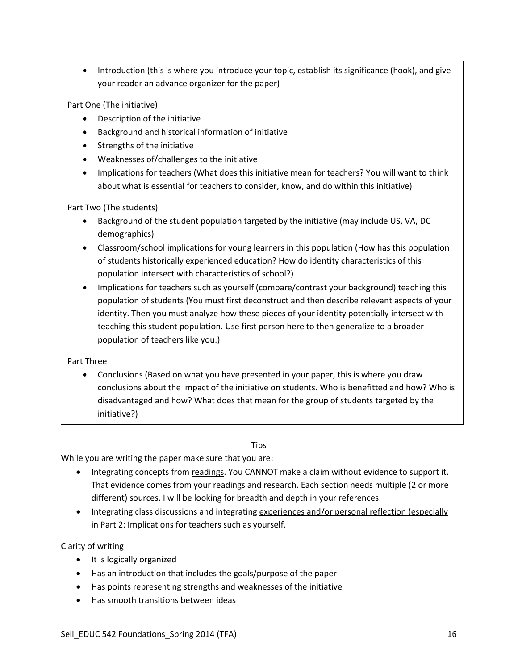• Introduction (this is where you introduce your topic, establish its significance (hook), and give your reader an advance organizer for the paper)

Part One (The initiative)

- Description of the initiative
- Background and historical information of initiative
- Strengths of the initiative
- Weaknesses of/challenges to the initiative
- Implications for teachers (What does this initiative mean for teachers? You will want to think about what is essential for teachers to consider, know, and do within this initiative)

Part Two (The students)

- Background of the student population targeted by the initiative (may include US, VA, DC demographics)
- Classroom/school implications for young learners in this population (How has this population of students historically experienced education? How do identity characteristics of this population intersect with characteristics of school?)
- Implications for teachers such as yourself (compare/contrast your background) teaching this population of students (You must first deconstruct and then describe relevant aspects of your identity. Then you must analyze how these pieces of your identity potentially intersect with teaching this student population. Use first person here to then generalize to a broader population of teachers like you.)

Part Three

 Conclusions (Based on what you have presented in your paper, this is where you draw conclusions about the impact of the initiative on students. Who is benefitted and how? Who is disadvantaged and how? What does that mean for the group of students targeted by the initiative?)

# **Tips**

While you are writing the paper make sure that you are:

- Integrating concepts from readings. You CANNOT make a claim without evidence to support it. That evidence comes from your readings and research. Each section needs multiple (2 or more different) sources. I will be looking for breadth and depth in your references.
- Integrating class discussions and integrating experiences and/or personal reflection (especially in Part 2: Implications for teachers such as yourself.

Clarity of writing

- It is logically organized
- Has an introduction that includes the goals/purpose of the paper
- Has points representing strengths and weaknesses of the initiative
- Has smooth transitions between ideas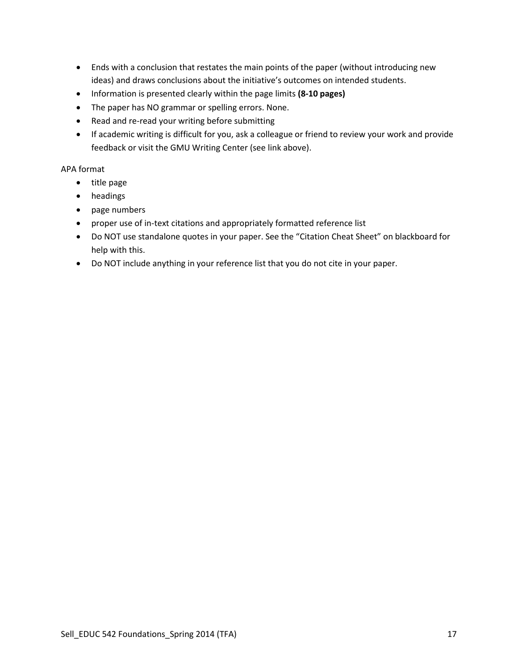- Ends with a conclusion that restates the main points of the paper (without introducing new ideas) and draws conclusions about the initiative's outcomes on intended students.
- Information is presented clearly within the page limits **(8-10 pages)**
- The paper has NO grammar or spelling errors. None.
- Read and re-read your writing before submitting
- If academic writing is difficult for you, ask a colleague or friend to review your work and provide feedback or visit the GMU Writing Center (see link above).

## APA format

- title page
- headings
- page numbers
- proper use of in-text citations and appropriately formatted reference list
- Do NOT use standalone quotes in your paper. See the "Citation Cheat Sheet" on blackboard for help with this.
- Do NOT include anything in your reference list that you do not cite in your paper.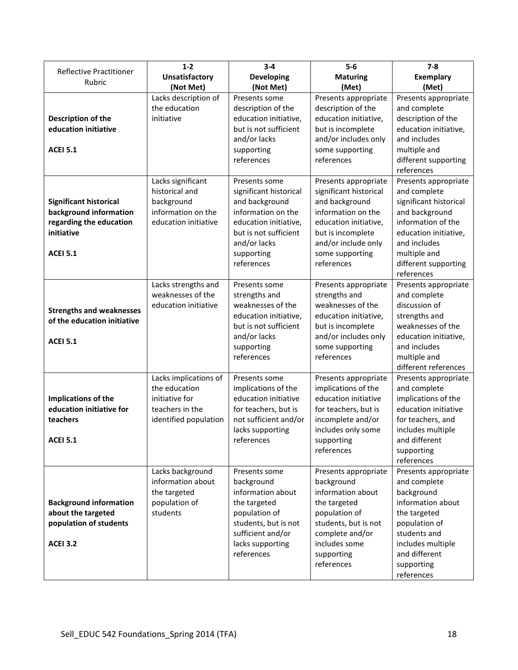| <b>Reflective Practitioner</b>                                                                                      | $1 - 2$                                                                                              | $3 - 4$                                                                                                                                                                       | $5-6$                                                                                                                                                                                        | $7 - 8$                                                                                                                                                                                               |
|---------------------------------------------------------------------------------------------------------------------|------------------------------------------------------------------------------------------------------|-------------------------------------------------------------------------------------------------------------------------------------------------------------------------------|----------------------------------------------------------------------------------------------------------------------------------------------------------------------------------------------|-------------------------------------------------------------------------------------------------------------------------------------------------------------------------------------------------------|
| Rubric                                                                                                              | <b>Unsatisfactory</b>                                                                                | <b>Developing</b>                                                                                                                                                             | <b>Maturing</b>                                                                                                                                                                              | <b>Exemplary</b>                                                                                                                                                                                      |
|                                                                                                                     | (Not Met)                                                                                            | (Not Met)                                                                                                                                                                     | (Met)                                                                                                                                                                                        | (Met)                                                                                                                                                                                                 |
| Description of the<br>education initiative<br><b>ACEI 5.1</b>                                                       | Lacks description of<br>the education<br>initiative                                                  | Presents some<br>description of the<br>education initiative,<br>but is not sufficient<br>and/or lacks<br>supporting<br>references                                             | Presents appropriate<br>description of the<br>education initiative,<br>but is incomplete<br>and/or includes only<br>some supporting<br>references                                            | Presents appropriate<br>and complete<br>description of the<br>education initiative,<br>and includes<br>multiple and<br>different supporting<br>references                                             |
| <b>Significant historical</b><br>background information<br>regarding the education<br>initiative<br><b>ACEI 5.1</b> | Lacks significant<br>historical and<br>background<br>information on the<br>education initiative      | Presents some<br>significant historical<br>and background<br>information on the<br>education initiative,<br>but is not sufficient<br>and/or lacks<br>supporting<br>references | Presents appropriate<br>significant historical<br>and background<br>information on the<br>education initiative,<br>but is incomplete<br>and/or include only<br>some supporting<br>references | Presents appropriate<br>and complete<br>significant historical<br>and background<br>information of the<br>education initiative,<br>and includes<br>multiple and<br>different supporting<br>references |
| <b>Strengths and weaknesses</b><br>of the education initiative<br><b>ACEI 5.1</b>                                   | Lacks strengths and<br>weaknesses of the<br>education initiative                                     | Presents some<br>strengths and<br>weaknesses of the<br>education initiative,<br>but is not sufficient<br>and/or lacks<br>supporting<br>references                             | Presents appropriate<br>strengths and<br>weaknesses of the<br>education initiative,<br>but is incomplete<br>and/or includes only<br>some supporting<br>references                            | Presents appropriate<br>and complete<br>discussion of<br>strengths and<br>weaknesses of the<br>education initiative,<br>and includes<br>multiple and<br>different references                          |
| Implications of the<br>education initiative for<br>teachers<br><b>ACEI 5.1</b>                                      | Lacks implications of<br>the education<br>initiative for<br>teachers in the<br>identified population | Presents some<br>implications of the<br>education initiative<br>for teachers, but is<br>not sufficient and/or<br>lacks supporting<br>references                               | Presents appropriate<br>implications of the<br>education initiative<br>for teachers, but is<br>incomplete and/or<br>includes only some<br>supporting<br>references                           | Presents appropriate<br>and complete<br>implications of the<br>education initiative<br>for teachers, and<br>includes multiple<br>and different<br>supporting<br>references                            |
| <b>Background information</b><br>about the targeted<br>population of students<br><b>ACEI 3.2</b>                    | Lacks background<br>information about<br>the targeted<br>population of<br>students                   | Presents some<br>background<br>information about<br>the targeted<br>population of<br>students, but is not<br>sufficient and/or<br>lacks supporting<br>references              | Presents appropriate<br>background<br>information about<br>the targeted<br>population of<br>students, but is not<br>complete and/or<br>includes some<br>supporting<br>references             | Presents appropriate<br>and complete<br>background<br>information about<br>the targeted<br>population of<br>students and<br>includes multiple<br>and different<br>supporting<br>references            |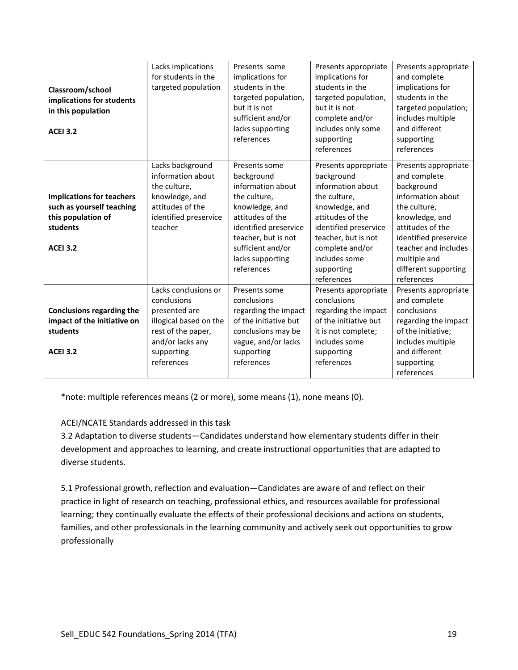| Classroom/school<br>implications for students<br>in this population<br><b>ACEI 3.2</b>                             | Lacks implications<br>for students in the<br>targeted population                                                                                     | Presents some<br>implications for<br>students in the<br>targeted population,<br>but it is not<br>sufficient and/or<br>lacks supporting<br>references                                                          | Presents appropriate<br>implications for<br>students in the<br>targeted population,<br>but it is not<br>complete and/or<br>includes only some<br>supporting<br>references                                                     | Presents appropriate<br>and complete<br>implications for<br>students in the<br>targeted population;<br>includes multiple<br>and different<br>supporting<br>references                                                                |
|--------------------------------------------------------------------------------------------------------------------|------------------------------------------------------------------------------------------------------------------------------------------------------|---------------------------------------------------------------------------------------------------------------------------------------------------------------------------------------------------------------|-------------------------------------------------------------------------------------------------------------------------------------------------------------------------------------------------------------------------------|--------------------------------------------------------------------------------------------------------------------------------------------------------------------------------------------------------------------------------------|
| <b>Implications for teachers</b><br>such as yourself teaching<br>this population of<br>students<br><b>ACEI 3.2</b> | Lacks background<br>information about<br>the culture,<br>knowledge, and<br>attitudes of the<br>identified preservice<br>teacher                      | Presents some<br>background<br>information about<br>the culture,<br>knowledge, and<br>attitudes of the<br>identified preservice<br>teacher, but is not<br>sufficient and/or<br>lacks supporting<br>references | Presents appropriate<br>background<br>information about<br>the culture,<br>knowledge, and<br>attitudes of the<br>identified preservice<br>teacher, but is not<br>complete and/or<br>includes some<br>supporting<br>references | Presents appropriate<br>and complete<br>background<br>information about<br>the culture,<br>knowledge, and<br>attitudes of the<br>identified preservice<br>teacher and includes<br>multiple and<br>different supporting<br>references |
| <b>Conclusions regarding the</b><br>impact of the initiative on<br>students<br><b>ACEI 3.2</b>                     | Lacks conclusions or<br>conclusions<br>presented are<br>illogical based on the<br>rest of the paper,<br>and/or lacks any<br>supporting<br>references | Presents some<br>conclusions<br>regarding the impact<br>of the initiative but<br>conclusions may be<br>vague, and/or lacks<br>supporting<br>references                                                        | Presents appropriate<br>conclusions<br>regarding the impact<br>of the initiative but<br>it is not complete;<br>includes some<br>supporting<br>references                                                                      | Presents appropriate<br>and complete<br>conclusions<br>regarding the impact<br>of the initiative;<br>includes multiple<br>and different<br>supporting<br>references                                                                  |

\*note: multiple references means (2 or more), some means (1), none means (0).

# ACEI/NCATE Standards addressed in this task

3.2 Adaptation to diverse students—Candidates understand how elementary students differ in their development and approaches to learning, and create instructional opportunities that are adapted to diverse students.

5.1 Professional growth, reflection and evaluation—Candidates are aware of and reflect on their practice in light of research on teaching, professional ethics, and resources available for professional learning; they continually evaluate the effects of their professional decisions and actions on students, families, and other professionals in the learning community and actively seek out opportunities to grow professionally